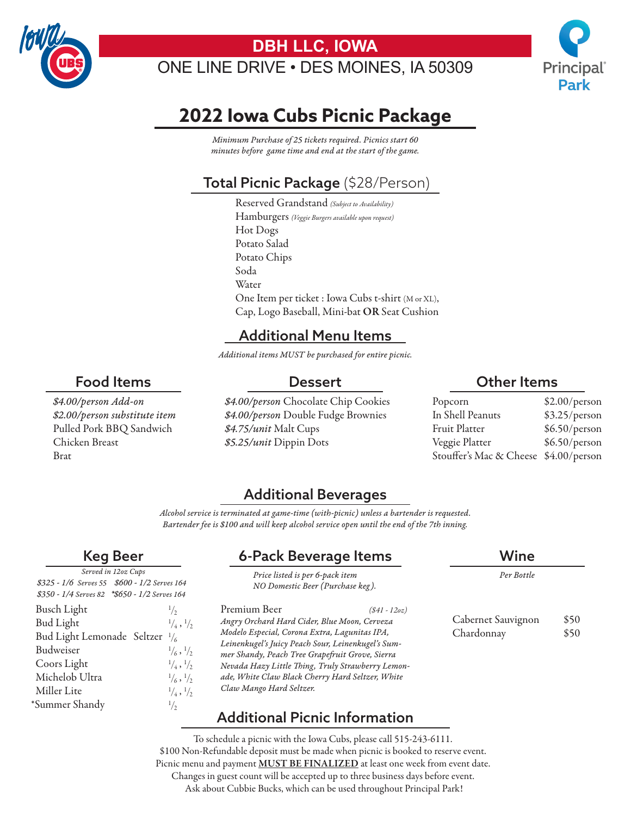

# **DBH LLC, IOWA**

ONE LINE DRIVE • DES MOINES, IA 50309



# **2022 Iowa Cubs Picnic Package**

*Minimum Purchase of 25 tickets required. Picnics start 60 minutes before game time and end at the start of the game.*

# Total Picnic Package (\$28/Person)

Reserved Grandstand *(Subject to Availability)* Hamburgers *(Veggie Burgers available upon request)* Hot Dogs Potato Salad Potato Chips Soda Water One Item per ticket : Iowa Cubs t-shirt (M or XL), Cap, Logo Baseball, Mini-bat OR Seat Cushion

#### Additional Menu Items

*Additional items MUST be purchased for entire picnic.*

#### Dessert

*\$4.00/person Add-on \$2.00/person substitute item* Pulled Pork BBQ Sandwich Chicken Breast Brat

Food Items

*\$4.00/person* Chocolate Chip Cookies *\$4.00/person* Double Fudge Brownies *\$4.75/unit* Malt Cups *\$5.25/unit* Dippin Dots

#### Other Items

| Popcorn                               | \$2.00/person |
|---------------------------------------|---------------|
| In Shell Peanuts                      | \$3.25/person |
| Fruit Platter                         | \$6.50/person |
| Veggie Platter                        | \$6.50/person |
| Stouffer's Mac & Cheese \$4.00/person |               |

Cabernet Sauvignon \$50 Chardonnay \$50

*Per Bottle*

### Additional Beverages

*Alcohol service is terminated at game-time (with-picnic) unless a bartender is requested. Bartender fee is \$100 and will keep alcohol service open until the end of the 7th inning.*

### Keg Beer

| Served in 12oz Cups                           |                               |  |
|-----------------------------------------------|-------------------------------|--|
| \$325 - 1/6 Serves 55 \$600 - 1/2 Serves 164  |                               |  |
| \$350 - 1/4 Serves 82 *\$650 - 1/2 Serves 164 |                               |  |
| <b>Busch Light</b>                            | 1/2                           |  |
| <b>Bud Light</b>                              | $\frac{1}{4}$ , $\frac{1}{2}$ |  |
| Bud Light Lemonade Seltzer 1/6                |                               |  |
| Budweiser                                     | $\frac{1}{6}$ , $\frac{1}{2}$ |  |
| Coors Light                                   | $\frac{1}{4}$ , $\frac{1}{2}$ |  |
| Michelob Ultra                                | $\frac{1}{6}$ , $\frac{1}{2}$ |  |
| Miller Lite                                   | $\frac{1}{4}$ , $\frac{1}{2}$ |  |
| *Summer Shandy                                | $\frac{1}{2}$                 |  |
|                                               |                               |  |

# 6-Pack Beverage Items Wine

*Price listed is per 6-pack item*

Premium Beer *(\$41 - 12oz) Angry Orchard Hard Cider, Blue Moon, Cerveza Modelo Especial, Corona Extra, Lagunitas IPA, Leinenkugel's Juicy Peach Sour, Leinenkugel's Summer Shandy, Peach Tree Grapefruit Grove, Sierra Nevada Hazy Little Thing, Truly Strawberry Lemonade, White Claw Black Cherry Hard Seltzer, White Claw Mango Hard Seltzer. NO Domestic Beer (Purchase keg ).*

## Additional Picnic Information

To schedule a picnic with the Iowa Cubs, please call 515-243-6111. \$100 Non-Refundable deposit must be made when picnic is booked to reserve event. Picnic menu and payment **MUST BE FINALIZED** at least one week from event date. Changes in guest count will be accepted up to three business days before event. Ask about Cubbie Bucks, which can be used throughout Principal Park!